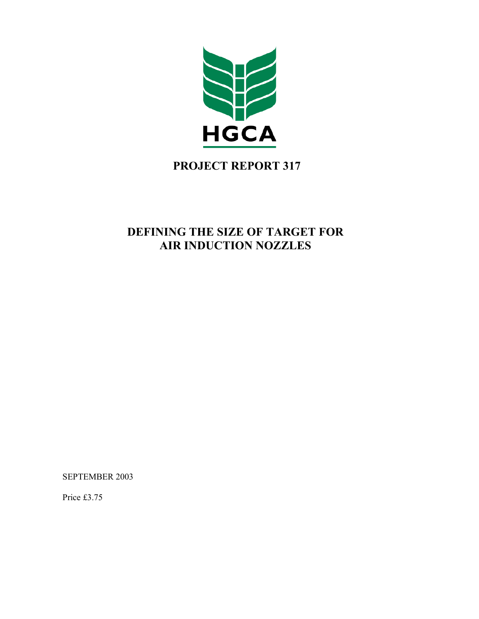

# **PROJECT REPORT 317**

## **DEFINING THE SIZE OF TARGET FOR AIR INDUCTION NOZZLES**

SEPTEMBER 2003

Price £3.75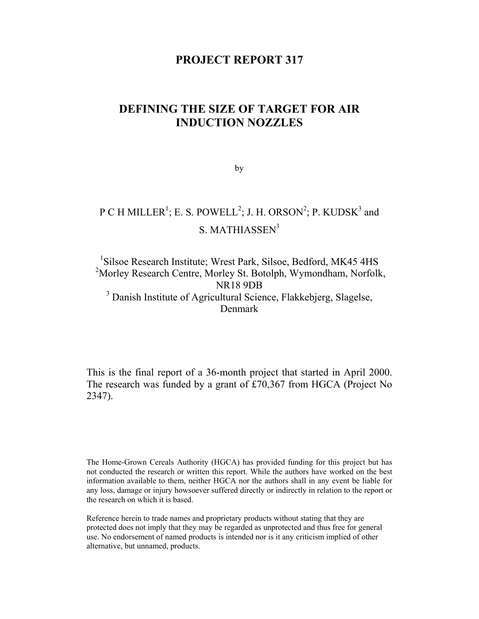### **PROJECT REPORT 317**

## **DEFINING THE SIZE OF TARGET FOR AIR INDUCTION NOZZLES**

by

# P C H MILLER<sup>1</sup>; E. S. POWELL<sup>2</sup>; J. H. ORSON<sup>2</sup>; P. KUDSK<sup>3</sup> and S. MATHIASSEN<sup>3</sup>

### <sup>1</sup>Silsoe Research Institute; Wrest Park, Silsoe, Bedford, MK45 4HS <sup>2</sup>Morley Research Centre, Morley St. Botolph, Wymondham, Norfolk, NR18 9DB <sup>3</sup> Danish Institute of Agricultural Science, Flakkebjerg, Slagelse, Denmark

This is the final report of a 36-month project that started in April 2000. The research was funded by a grant of £70,367 from HGCA (Project No 2347).

The Home-Grown Cereals Authority (HGCA) has provided funding for this project but has not conducted the research or written this report. While the authors have worked on the best information available to them, neither HGCA nor the authors shall in any event be liable for any loss, damage or injury howsoever suffered directly or indirectly in relation to the report or the research on which it is based.

Reference herein to trade names and proprietary products without stating that they are protected does not imply that they may be regarded as unprotected and thus free for general use. No endorsement of named products is intended nor is it any criticism implied of other alternative, but unnamed, products.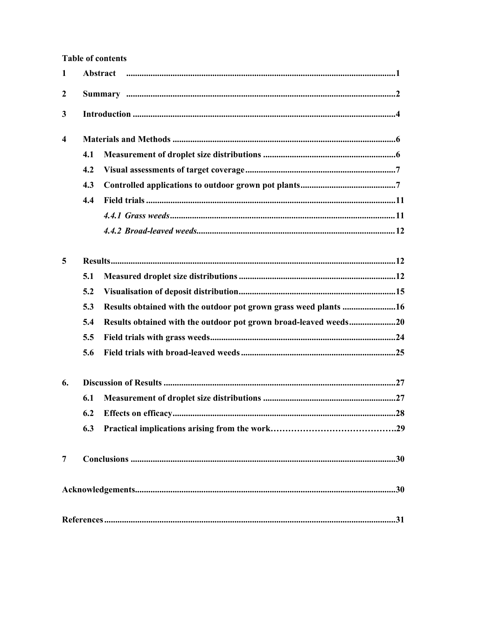### **Table of contents**

| $\mathbf{1}$ |     |                                                                  |  |  |  |
|--------------|-----|------------------------------------------------------------------|--|--|--|
| 2            |     |                                                                  |  |  |  |
| 3            |     |                                                                  |  |  |  |
| 4            |     |                                                                  |  |  |  |
|              | 4.1 |                                                                  |  |  |  |
|              | 4.2 |                                                                  |  |  |  |
|              | 4.3 |                                                                  |  |  |  |
|              | 4.4 |                                                                  |  |  |  |
|              |     |                                                                  |  |  |  |
|              |     |                                                                  |  |  |  |
| 5            |     |                                                                  |  |  |  |
|              | 5.1 |                                                                  |  |  |  |
|              | 5.2 |                                                                  |  |  |  |
|              | 5.3 | Results obtained with the outdoor pot grown grass weed plants 16 |  |  |  |
|              | 5.4 | Results obtained with the outdoor pot grown broad-leaved weeds20 |  |  |  |
|              | 5.5 |                                                                  |  |  |  |
|              | 5.6 |                                                                  |  |  |  |
| 6.           |     |                                                                  |  |  |  |
|              | 6.1 |                                                                  |  |  |  |
|              | 6.2 |                                                                  |  |  |  |
|              | 6.3 |                                                                  |  |  |  |
| 7            |     |                                                                  |  |  |  |
|              |     |                                                                  |  |  |  |
|              |     |                                                                  |  |  |  |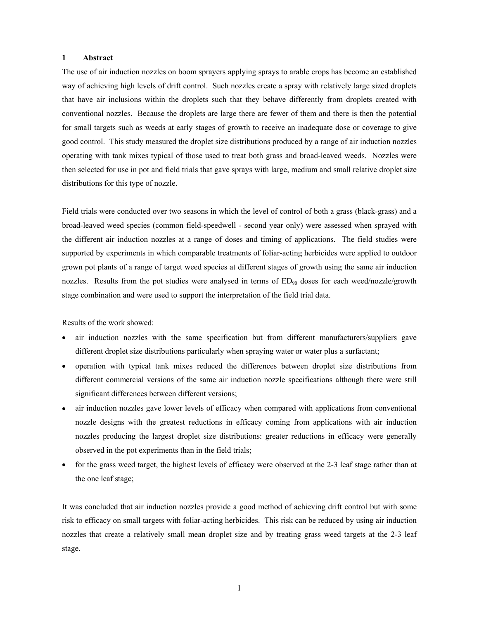#### **1 Abstract**

The use of air induction nozzles on boom sprayers applying sprays to arable crops has become an established way of achieving high levels of drift control. Such nozzles create a spray with relatively large sized droplets that have air inclusions within the droplets such that they behave differently from droplets created with conventional nozzles. Because the droplets are large there are fewer of them and there is then the potential for small targets such as weeds at early stages of growth to receive an inadequate dose or coverage to give good control. This study measured the droplet size distributions produced by a range of air induction nozzles operating with tank mixes typical of those used to treat both grass and broad-leaved weeds. Nozzles were then selected for use in pot and field trials that gave sprays with large, medium and small relative droplet size distributions for this type of nozzle.

Field trials were conducted over two seasons in which the level of control of both a grass (black-grass) and a broad-leaved weed species (common field-speedwell - second year only) were assessed when sprayed with the different air induction nozzles at a range of doses and timing of applications. The field studies were supported by experiments in which comparable treatments of foliar-acting herbicides were applied to outdoor grown pot plants of a range of target weed species at different stages of growth using the same air induction nozzles. Results from the pot studies were analysed in terms of  $ED_{90}$  doses for each weed/nozzle/growth stage combination and were used to support the interpretation of the field trial data.

Results of the work showed:

- air induction nozzles with the same specification but from different manufacturers/suppliers gave different droplet size distributions particularly when spraying water or water plus a surfactant;
- operation with typical tank mixes reduced the differences between droplet size distributions from different commercial versions of the same air induction nozzle specifications although there were still significant differences between different versions;
- air induction nozzles gave lower levels of efficacy when compared with applications from conventional nozzle designs with the greatest reductions in efficacy coming from applications with air induction nozzles producing the largest droplet size distributions: greater reductions in efficacy were generally observed in the pot experiments than in the field trials;
- for the grass weed target, the highest levels of efficacy were observed at the 2-3 leaf stage rather than at the one leaf stage;

It was concluded that air induction nozzles provide a good method of achieving drift control but with some risk to efficacy on small targets with foliar-acting herbicides. This risk can be reduced by using air induction nozzles that create a relatively small mean droplet size and by treating grass weed targets at the 2-3 leaf stage.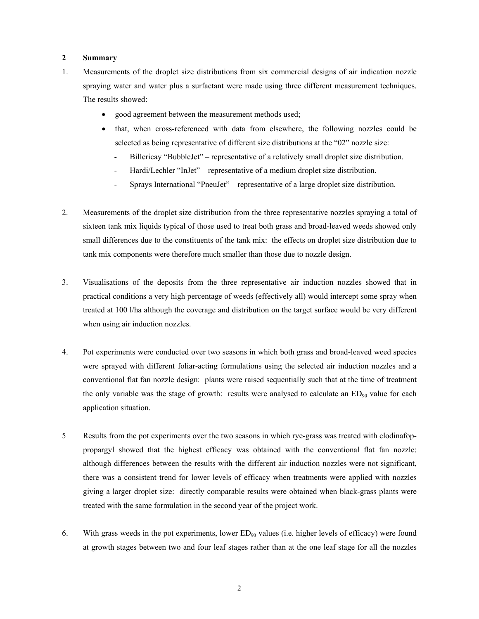#### **2 Summary**

- 1. Measurements of the droplet size distributions from six commercial designs of air indication nozzle spraying water and water plus a surfactant were made using three different measurement techniques. The results showed:
	- good agreement between the measurement methods used;
	- that, when cross-referenced with data from elsewhere, the following nozzles could be selected as being representative of different size distributions at the "02" nozzle size:
		- Billericay "BubbleJet" representative of a relatively small droplet size distribution.
		- Hardi/Lechler "InJet" representative of a medium droplet size distribution.
		- Sprays International "PneuJet" representative of a large droplet size distribution.
- 2. Measurements of the droplet size distribution from the three representative nozzles spraying a total of sixteen tank mix liquids typical of those used to treat both grass and broad-leaved weeds showed only small differences due to the constituents of the tank mix: the effects on droplet size distribution due to tank mix components were therefore much smaller than those due to nozzle design.
- 3. Visualisations of the deposits from the three representative air induction nozzles showed that in practical conditions a very high percentage of weeds (effectively all) would intercept some spray when treated at 100 l/ha although the coverage and distribution on the target surface would be very different when using air induction nozzles.
- 4. Pot experiments were conducted over two seasons in which both grass and broad-leaved weed species were sprayed with different foliar-acting formulations using the selected air induction nozzles and a conventional flat fan nozzle design: plants were raised sequentially such that at the time of treatment the only variable was the stage of growth: results were analysed to calculate an  $ED_{90}$  value for each application situation.
- 5 Results from the pot experiments over the two seasons in which rye-grass was treated with clodinafoppropargyl showed that the highest efficacy was obtained with the conventional flat fan nozzle: although differences between the results with the different air induction nozzles were not significant, there was a consistent trend for lower levels of efficacy when treatments were applied with nozzles giving a larger droplet size: directly comparable results were obtained when black-grass plants were treated with the same formulation in the second year of the project work.
- 6. With grass weeds in the pot experiments, lower  $ED_{90}$  values (i.e. higher levels of efficacy) were found at growth stages between two and four leaf stages rather than at the one leaf stage for all the nozzles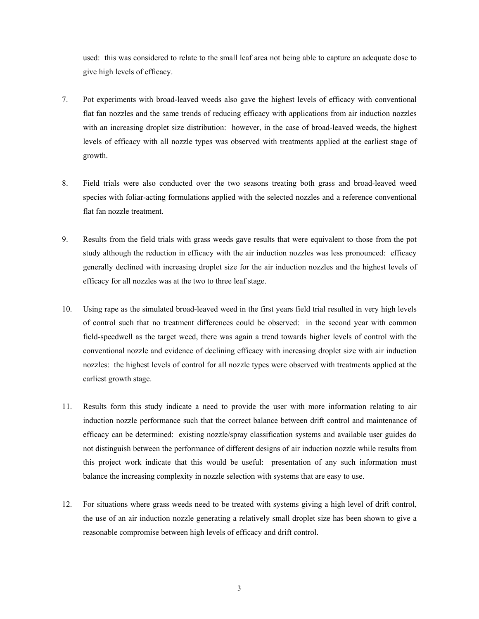used: this was considered to relate to the small leaf area not being able to capture an adequate dose to give high levels of efficacy.

- 7. Pot experiments with broad-leaved weeds also gave the highest levels of efficacy with conventional flat fan nozzles and the same trends of reducing efficacy with applications from air induction nozzles with an increasing droplet size distribution: however, in the case of broad-leaved weeds, the highest levels of efficacy with all nozzle types was observed with treatments applied at the earliest stage of growth.
- 8. Field trials were also conducted over the two seasons treating both grass and broad-leaved weed species with foliar-acting formulations applied with the selected nozzles and a reference conventional flat fan nozzle treatment.
- 9. Results from the field trials with grass weeds gave results that were equivalent to those from the pot study although the reduction in efficacy with the air induction nozzles was less pronounced: efficacy generally declined with increasing droplet size for the air induction nozzles and the highest levels of efficacy for all nozzles was at the two to three leaf stage.
- 10. Using rape as the simulated broad-leaved weed in the first years field trial resulted in very high levels of control such that no treatment differences could be observed: in the second year with common field-speedwell as the target weed, there was again a trend towards higher levels of control with the conventional nozzle and evidence of declining efficacy with increasing droplet size with air induction nozzles: the highest levels of control for all nozzle types were observed with treatments applied at the earliest growth stage.
- 11. Results form this study indicate a need to provide the user with more information relating to air induction nozzle performance such that the correct balance between drift control and maintenance of efficacy can be determined: existing nozzle/spray classification systems and available user guides do not distinguish between the performance of different designs of air induction nozzle while results from this project work indicate that this would be useful: presentation of any such information must balance the increasing complexity in nozzle selection with systems that are easy to use.
- 12. For situations where grass weeds need to be treated with systems giving a high level of drift control, the use of an air induction nozzle generating a relatively small droplet size has been shown to give a reasonable compromise between high levels of efficacy and drift control.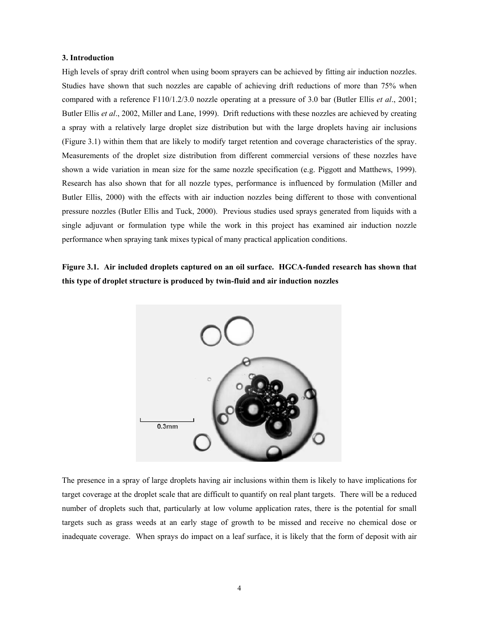#### **3. Introduction**

High levels of spray drift control when using boom sprayers can be achieved by fitting air induction nozzles. Studies have shown that such nozzles are capable of achieving drift reductions of more than 75% when compared with a reference F110/1.2/3.0 nozzle operating at a pressure of 3.0 bar (Butler Ellis *et al*., 2001; Butler Ellis *et al*., 2002, Miller and Lane, 1999). Drift reductions with these nozzles are achieved by creating a spray with a relatively large droplet size distribution but with the large droplets having air inclusions (Figure 3.1) within them that are likely to modify target retention and coverage characteristics of the spray. Measurements of the droplet size distribution from different commercial versions of these nozzles have shown a wide variation in mean size for the same nozzle specification (e.g. Piggott and Matthews, 1999). Research has also shown that for all nozzle types, performance is influenced by formulation (Miller and Butler Ellis, 2000) with the effects with air induction nozzles being different to those with conventional pressure nozzles (Butler Ellis and Tuck, 2000). Previous studies used sprays generated from liquids with a single adjuvant or formulation type while the work in this project has examined air induction nozzle performance when spraying tank mixes typical of many practical application conditions.

**Figure 3.1. Air included droplets captured on an oil surface. HGCA-funded research has shown that this type of droplet structure is produced by twin-fluid and air induction nozzles** 



The presence in a spray of large droplets having air inclusions within them is likely to have implications for target coverage at the droplet scale that are difficult to quantify on real plant targets. There will be a reduced number of droplets such that, particularly at low volume application rates, there is the potential for small targets such as grass weeds at an early stage of growth to be missed and receive no chemical dose or inadequate coverage. When sprays do impact on a leaf surface, it is likely that the form of deposit with air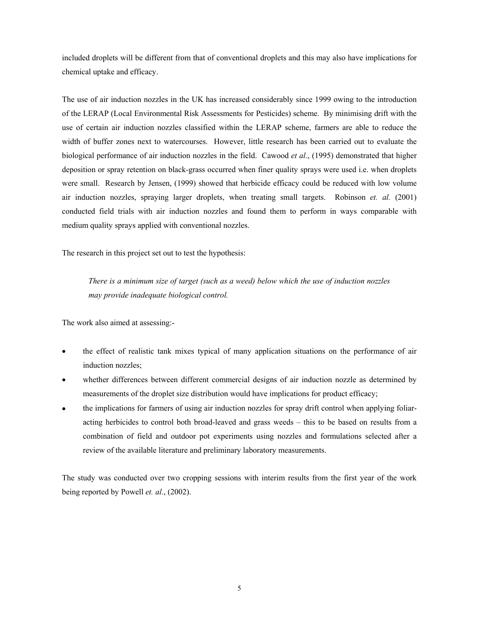included droplets will be different from that of conventional droplets and this may also have implications for chemical uptake and efficacy.

The use of air induction nozzles in the UK has increased considerably since 1999 owing to the introduction of the LERAP (Local Environmental Risk Assessments for Pesticides) scheme. By minimising drift with the use of certain air induction nozzles classified within the LERAP scheme, farmers are able to reduce the width of buffer zones next to watercourses. However, little research has been carried out to evaluate the biological performance of air induction nozzles in the field. Cawood *et al*., (1995) demonstrated that higher deposition or spray retention on black-grass occurred when finer quality sprays were used i.e. when droplets were small. Research by Jensen, (1999) showed that herbicide efficacy could be reduced with low volume air induction nozzles, spraying larger droplets, when treating small targets. Robinson *et. al.* (2001) conducted field trials with air induction nozzles and found them to perform in ways comparable with medium quality sprays applied with conventional nozzles.

The research in this project set out to test the hypothesis:

*There is a minimum size of target (such as a weed) below which the use of induction nozzles may provide inadequate biological control.* 

The work also aimed at assessing:-

- the effect of realistic tank mixes typical of many application situations on the performance of air induction nozzles;
- whether differences between different commercial designs of air induction nozzle as determined by measurements of the droplet size distribution would have implications for product efficacy;
- the implications for farmers of using air induction nozzles for spray drift control when applying foliaracting herbicides to control both broad-leaved and grass weeds – this to be based on results from a combination of field and outdoor pot experiments using nozzles and formulations selected after a review of the available literature and preliminary laboratory measurements.

The study was conducted over two cropping sessions with interim results from the first year of the work being reported by Powell *et. al*., (2002).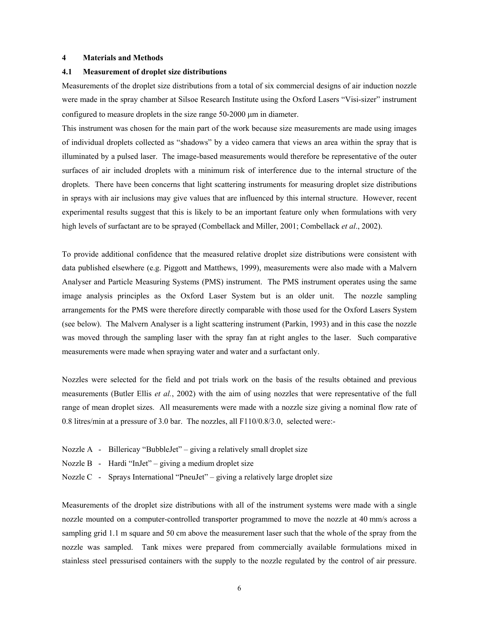#### **4 Materials and Methods**

#### **4.1 Measurement of droplet size distributions**

Measurements of the droplet size distributions from a total of six commercial designs of air induction nozzle were made in the spray chamber at Silsoe Research Institute using the Oxford Lasers "Visi-sizer" instrument configured to measure droplets in the size range 50-2000 µm in diameter.

This instrument was chosen for the main part of the work because size measurements are made using images of individual droplets collected as "shadows" by a video camera that views an area within the spray that is illuminated by a pulsed laser. The image-based measurements would therefore be representative of the outer surfaces of air included droplets with a minimum risk of interference due to the internal structure of the droplets. There have been concerns that light scattering instruments for measuring droplet size distributions in sprays with air inclusions may give values that are influenced by this internal structure. However, recent experimental results suggest that this is likely to be an important feature only when formulations with very high levels of surfactant are to be sprayed (Combellack and Miller, 2001; Combellack *et al*., 2002).

To provide additional confidence that the measured relative droplet size distributions were consistent with data published elsewhere (e.g. Piggott and Matthews, 1999), measurements were also made with a Malvern Analyser and Particle Measuring Systems (PMS) instrument. The PMS instrument operates using the same image analysis principles as the Oxford Laser System but is an older unit. The nozzle sampling arrangements for the PMS were therefore directly comparable with those used for the Oxford Lasers System (see below). The Malvern Analyser is a light scattering instrument (Parkin, 1993) and in this case the nozzle was moved through the sampling laser with the spray fan at right angles to the laser. Such comparative measurements were made when spraying water and water and a surfactant only.

Nozzles were selected for the field and pot trials work on the basis of the results obtained and previous measurements (Butler Ellis *et al.*, 2002) with the aim of using nozzles that were representative of the full range of mean droplet sizes. All measurements were made with a nozzle size giving a nominal flow rate of 0.8 litres/min at a pressure of 3.0 bar. The nozzles, all F110/0.8/3.0, selected were:-

- Nozzle A Billericay "BubbleJet" giving a relatively small droplet size
- Nozzle B Hardi "InJet" giving a medium droplet size
- Nozzle C Sprays International "PneuJet" giving a relatively large droplet size

Measurements of the droplet size distributions with all of the instrument systems were made with a single nozzle mounted on a computer-controlled transporter programmed to move the nozzle at 40 mm/s across a sampling grid 1.1 m square and 50 cm above the measurement laser such that the whole of the spray from the nozzle was sampled. Tank mixes were prepared from commercially available formulations mixed in stainless steel pressurised containers with the supply to the nozzle regulated by the control of air pressure.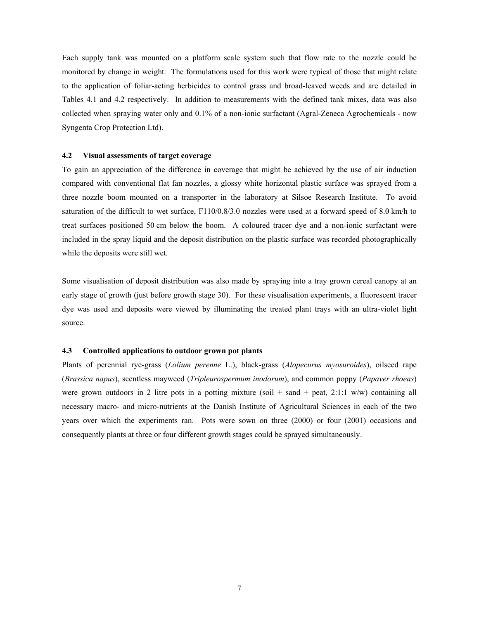Each supply tank was mounted on a platform scale system such that flow rate to the nozzle could be monitored by change in weight. The formulations used for this work were typical of those that might relate to the application of foliar-acting herbicides to control grass and broad-leaved weeds and are detailed in Tables 4.1 and 4.2 respectively. In addition to measurements with the defined tank mixes, data was also collected when spraying water only and 0.1% of a non-ionic surfactant (Agral-Zeneca Agrochemicals - now Syngenta Crop Protection Ltd).

#### **4.2 Visual assessments of target coverage**

To gain an appreciation of the difference in coverage that might be achieved by the use of air induction compared with conventional flat fan nozzles, a glossy white horizontal plastic surface was sprayed from a three nozzle boom mounted on a transporter in the laboratory at Silsoe Research Institute. To avoid saturation of the difficult to wet surface, F110/0.8/3.0 nozzles were used at a forward speed of 8.0 km/h to treat surfaces positioned 50 cm below the boom. A coloured tracer dye and a non-ionic surfactant were included in the spray liquid and the deposit distribution on the plastic surface was recorded photographically while the deposits were still wet.

Some visualisation of deposit distribution was also made by spraying into a tray grown cereal canopy at an early stage of growth (just before growth stage 30). For these visualisation experiments, a fluorescent tracer dye was used and deposits were viewed by illuminating the treated plant trays with an ultra-violet light source.

#### **4.3 Controlled applications to outdoor grown pot plants**

Plants of perennial rye-grass (*Lolium perenne* L.), black-grass (*Alopecurus myosuroides*), oilseed rape (*Brassica napus*), scentless mayweed (*Tripleurospermum inodorum*), and common poppy (*Papaver rhoeas*) were grown outdoors in 2 litre pots in a potting mixture (soil  $+$  sand  $+$  peat, 2:1:1 w/w) containing all necessary macro- and micro-nutrients at the Danish Institute of Agricultural Sciences in each of the two years over which the experiments ran. Pots were sown on three (2000) or four (2001) occasions and consequently plants at three or four different growth stages could be sprayed simultaneously.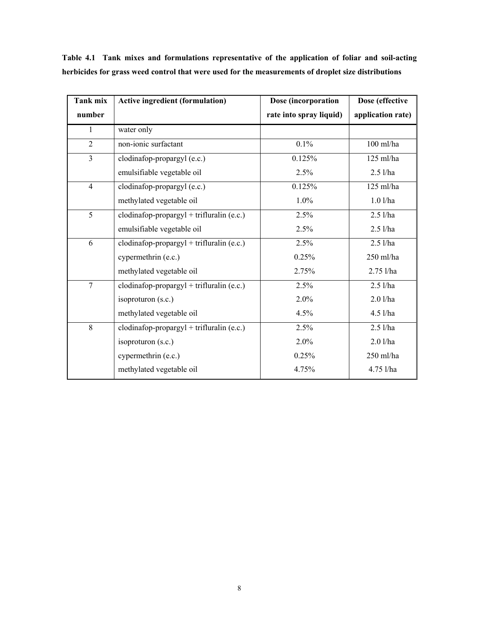| Tank mix       | <b>Active ingredient (formulation)</b>        | Dose (incorporation     | Dose (effective   |
|----------------|-----------------------------------------------|-------------------------|-------------------|
| number         |                                               | rate into spray liquid) | application rate) |
| 1              | water only                                    |                         |                   |
| $\overline{2}$ | non-ionic surfactant                          | 0.1%                    | $100$ ml/ha       |
| $\overline{3}$ | clodinafop-propargyl (e.c.)                   | 0.125%                  | $125$ ml/ha       |
|                | emulsifiable vegetable oil                    | 2.5%                    | $2.5$ l/ha        |
| $\overline{4}$ | clodinafop-propargyl (e.c.)                   | 0.125%                  | $125$ ml/ha       |
|                | methylated vegetable oil                      | 1.0%                    | $1.0$ l/ha        |
| $\overline{5}$ | $clodingop-programl + trifluralin (e.c.)$     | 2.5%                    | $2.5$ l/ha        |
|                | emulsifiable vegetable oil                    | 2.5%                    | $2.5$ l/ha        |
| 6              | $clodina fop-programgyl + trifluralin (e.c.)$ | 2.5%                    | $2.5$ l/ha        |
|                | cypermethrin (e.c.)                           | 0.25%                   | 250 ml/ha         |
|                | methylated vegetable oil                      | 2.75%                   | $2.75$ l/ha       |
| $\overline{7}$ | $clodingop-programl + trifluralin (e.c.)$     | 2.5%                    | $2.5$ l/ha        |
|                | isoproturon $(s.c.)$                          | 2.0%                    | $2.0$ l/ha        |
|                | methylated vegetable oil                      | 4.5%                    | $4.5$ l/ha        |
| 8              | $clodingop-programl + trifluralin (e.c.)$     | 2.5%                    | $2.5$ l/ha        |
|                | isoproturon (s.c.)                            | 2.0%                    | $2.0$ l/ha        |
|                | cypermethrin (e.c.)                           | 0.25%                   | 250 ml/ha         |
|                | methylated vegetable oil                      | 4.75%                   | 4.75 l/ha         |

**Table 4.1 Tank mixes and formulations representative of the application of foliar and soil-acting herbicides for grass weed control that were used for the measurements of droplet size distributions**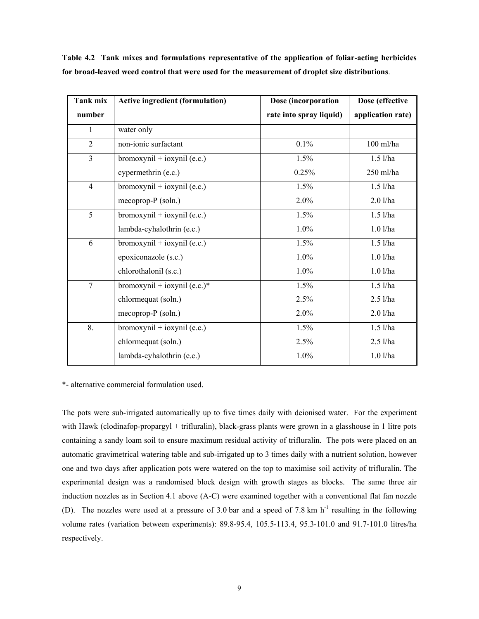| Tank mix       | <b>Active ingredient (formulation)</b> | Dose (incorporation     | Dose (effective   |
|----------------|----------------------------------------|-------------------------|-------------------|
| number         |                                        | rate into spray liquid) | application rate) |
| 1              | water only                             |                         |                   |
| 2              | non-ionic surfactant                   | 0.1%                    | $100$ ml/ha       |
| $\overline{3}$ | bromoxynil + ioxynil (e.c.)            | 1.5%                    | $1.5$ l/ha        |
|                | cypermethrin (e.c.)                    | 0.25%                   | 250 ml/ha         |
| $\overline{4}$ | $b$ romoxyni $l + i$ oxyni $l$ (e.c.)  | 1.5%                    | $1.5$ l/ha        |
|                | mecoprop- $P$ (soln.)                  | 2.0%                    | $2.0$ l/ha        |
| 5              | $b$ romoxynil + ioxynil (e.c.)         | 1.5%                    | $1.5$ l/ha        |
|                | lambda-cyhalothrin (e.c.)              | 1.0%                    | $1.0$ l/ha        |
| 6              | bromoxynil + ioxynil $(e.c.)$          | 1.5%                    | $1.5$ l/ha        |
|                | epoxiconazole (s.c.)                   | $1.0\%$                 | $1.0$ l/ha        |
|                | chlorothalonil (s.c.)                  | $1.0\%$                 | $1.0$ l/ha        |
| $\overline{7}$ | bromoxynil + ioxynil $(e.c.)^*$        | 1.5%                    | $1.5$ l/ha        |
|                | chlormequat (soln.)                    | 2.5%                    | $2.5$ l/ha        |
|                | mecoprop- $P$ (soln.)                  | 2.0%                    | $2.0$ l/ha        |
| 8.             | bromoxynil + ioxynil (e.c.)            | 1.5%                    | $1.5$ l/ha        |
|                | chlormequat (soln.)                    | 2.5%                    | $2.5$ l/ha        |
|                | lambda-cyhalothrin (e.c.)              | 1.0%                    | $1.0$ l/ha        |

**Table 4.2 Tank mixes and formulations representative of the application of foliar-acting herbicides for broad-leaved weed control that were used for the measurement of droplet size distributions**.

\*- alternative commercial formulation used.

The pots were sub-irrigated automatically up to five times daily with deionised water. For the experiment with Hawk (clodinafop-propargyl + trifluralin), black-grass plants were grown in a glasshouse in 1 litre pots containing a sandy loam soil to ensure maximum residual activity of trifluralin. The pots were placed on an automatic gravimetrical watering table and sub-irrigated up to 3 times daily with a nutrient solution, however one and two days after application pots were watered on the top to maximise soil activity of trifluralin. The experimental design was a randomised block design with growth stages as blocks. The same three air induction nozzles as in Section 4.1 above (A-C) were examined together with a conventional flat fan nozzle (D). The nozzles were used at a pressure of 3.0 bar and a speed of 7.8 km  $h^{-1}$  resulting in the following volume rates (variation between experiments): 89.8-95.4, 105.5-113.4, 95.3-101.0 and 91.7-101.0 litres/ha respectively.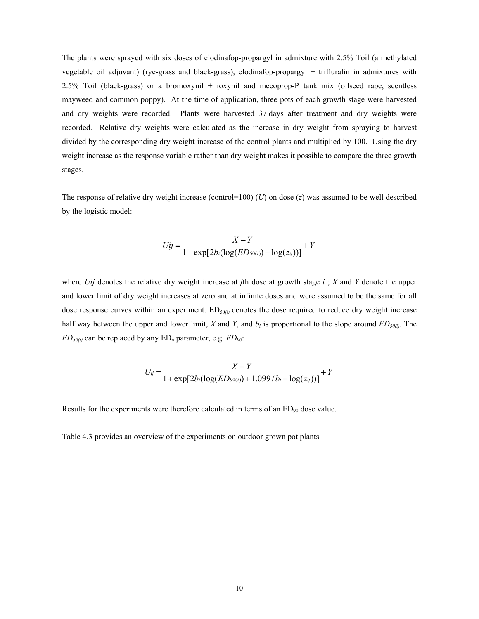The plants were sprayed with six doses of clodinafop-propargyl in admixture with 2.5% Toil (a methylated vegetable oil adjuvant) (rye-grass and black-grass), clodinafop-propargyl + trifluralin in admixtures with 2.5% Toil (black-grass) or a bromoxynil + ioxynil and mecoprop-P tank mix (oilseed rape, scentless mayweed and common poppy). At the time of application, three pots of each growth stage were harvested and dry weights were recorded. Plants were harvested 37 days after treatment and dry weights were recorded. Relative dry weights were calculated as the increase in dry weight from spraying to harvest divided by the corresponding dry weight increase of the control plants and multiplied by 100. Using the dry weight increase as the response variable rather than dry weight makes it possible to compare the three growth stages.

The response of relative dry weight increase (control=100) (*U*) on dose (*z*) was assumed to be well described by the logistic model:

$$
Uij = \frac{X - Y}{1 + \exp[2b_i(\log(ED_{50(i)}) - \log(z_{ij}))]} + Y
$$

where *Uij* denotes the relative dry weight increase at *j*th dose at growth stage *i* ; *X* and *Y* denote the upper and lower limit of dry weight increases at zero and at infinite doses and were assumed to be the same for all dose response curves within an experiment. ED<sub>50 $\omega$ </sub> denotes the dose required to reduce dry weight increase half way between the upper and lower limit, *X* and *Y*, and  $b_i$  is proportional to the slope around  $ED_{50(i)}$ . The  $ED_{50(i)}$  can be replaced by any  $ED_n$  parameter, e.g.  $ED_{90}$ .

$$
U_{ij} = \frac{X - Y}{1 + \exp[2b_i(\log(ED_{90(i)}) + 1.099/b_i - \log(z_{ij}))]} + Y
$$

Results for the experiments were therefore calculated in terms of an  $ED_{90}$  dose value.

Table 4.3 provides an overview of the experiments on outdoor grown pot plants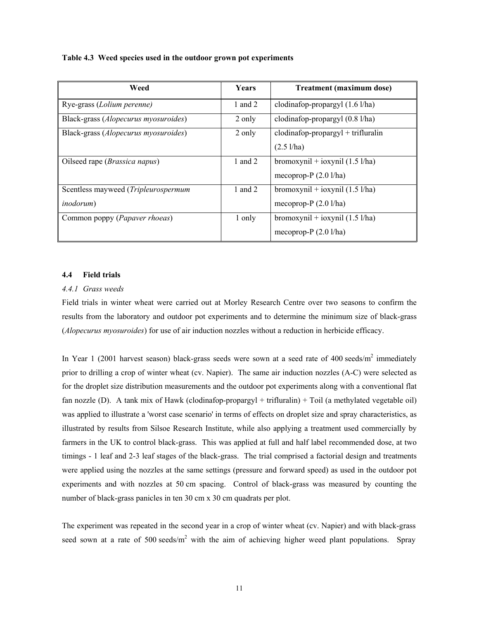| Weed                                   | Years   | <b>Treatment (maximum dose)</b>           |
|----------------------------------------|---------|-------------------------------------------|
| Rye-grass (Lolium perenne)             | 1 and 2 | clodinafop-propargyl $(1.6 \text{ l/ha})$ |
| Black-grass (Alopecurus myosuroides)   | 2 only  | clodinafop-propargyl (0.8 l/ha)           |
| Black-grass (Alopecurus myosuroides)   | 2 only  | $clodingop-programl + trifluralin$        |
|                                        |         | $(2.5 \frac{\text{1}}{\text{ha}})$        |
| Oilseed rape ( <i>Brassica napus</i> ) | 1 and 2 | bromoxynil + ioxynil $(1.5 \text{ l/ha})$ |
|                                        |         | mecoprop- $P(2.01/ha)$                    |
| Scentless mayweed (Tripleurospermum    | 1 and 2 | bromoxynil + ioxynil $(1.5 \text{ l/ha})$ |
| <i>inodorum</i> )                      |         | mecoprop- $P(2.01/ha)$                    |
| Common poppy (Papaver rhoeas)          | 1 only  | bromoxynil + ioxynil $(1.5 \text{ l/ha})$ |
|                                        |         | mecoprop- $P(2.01/ha)$                    |

#### **Table 4.3 Weed species used in the outdoor grown pot experiments**

#### **4.4 Field trials**

#### *4.4.1 Grass weeds*

Field trials in winter wheat were carried out at Morley Research Centre over two seasons to confirm the results from the laboratory and outdoor pot experiments and to determine the minimum size of black-grass (*Alopecurus myosuroides*) for use of air induction nozzles without a reduction in herbicide efficacy.

In Year 1 (2001 harvest season) black-grass seeds were sown at a seed rate of 400 seeds/ $m^2$  immediately prior to drilling a crop of winter wheat (cv. Napier). The same air induction nozzles (A-C) were selected as for the droplet size distribution measurements and the outdoor pot experiments along with a conventional flat fan nozzle (D). A tank mix of Hawk (clodinafop-propargyl + trifluralin) + Toil (a methylated vegetable oil) was applied to illustrate a 'worst case scenario' in terms of effects on droplet size and spray characteristics, as illustrated by results from Silsoe Research Institute, while also applying a treatment used commercially by farmers in the UK to control black-grass. This was applied at full and half label recommended dose, at two timings - 1 leaf and 2-3 leaf stages of the black-grass. The trial comprised a factorial design and treatments were applied using the nozzles at the same settings (pressure and forward speed) as used in the outdoor pot experiments and with nozzles at 50 cm spacing. Control of black-grass was measured by counting the number of black-grass panicles in ten 30 cm x 30 cm quadrats per plot.

The experiment was repeated in the second year in a crop of winter wheat (cv. Napier) and with black-grass seed sown at a rate of 500 seeds/ $m^2$  with the aim of achieving higher weed plant populations. Spray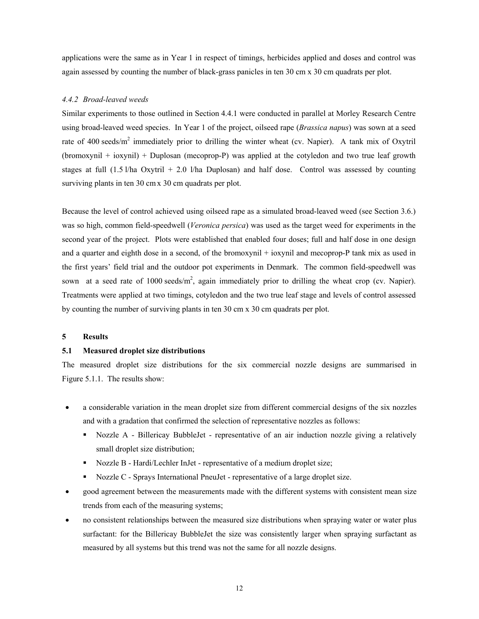applications were the same as in Year 1 in respect of timings, herbicides applied and doses and control was again assessed by counting the number of black-grass panicles in ten 30 cm x 30 cm quadrats per plot.

#### *4.4.2 Broad-leaved weeds*

Similar experiments to those outlined in Section 4.4.1 were conducted in parallel at Morley Research Centre using broad-leaved weed species. In Year 1 of the project, oilseed rape (*Brassica napus*) was sown at a seed rate of 400 seeds/m<sup>2</sup> immediately prior to drilling the winter wheat (cv. Napier). A tank mix of Oxytril (bromoxynil + ioxynil) + Duplosan (mecoprop-P) was applied at the cotyledon and two true leaf growth stages at full (1.5 l/ha Oxytril + 2.0 l/ha Duplosan) and half dose. Control was assessed by counting surviving plants in ten 30 cm x 30 cm quadrats per plot.

Because the level of control achieved using oilseed rape as a simulated broad-leaved weed (see Section 3.6.) was so high, common field-speedwell (*Veronica persica*) was used as the target weed for experiments in the second year of the project. Plots were established that enabled four doses; full and half dose in one design and a quarter and eighth dose in a second, of the bromoxynil + ioxynil and mecoprop-P tank mix as used in the first years' field trial and the outdoor pot experiments in Denmark. The common field-speedwell was sown at a seed rate of 1000 seeds/ $m^2$ , again immediately prior to drilling the wheat crop (cv. Napier). Treatments were applied at two timings, cotyledon and the two true leaf stage and levels of control assessed by counting the number of surviving plants in ten 30 cm x 30 cm quadrats per plot.

#### **5 Results**

#### **5.1 Measured droplet size distributions**

The measured droplet size distributions for the six commercial nozzle designs are summarised in Figure 5.1.1. The results show:

- a considerable variation in the mean droplet size from different commercial designs of the six nozzles and with a gradation that confirmed the selection of representative nozzles as follows:
	- Nozzle A Billericay BubbleJet representative of an air induction nozzle giving a relatively small droplet size distribution;
	- Nozzle B Hardi/Lechler InJet representative of a medium droplet size;
	- Nozzle C Sprays International PneuJet representative of a large droplet size.
- good agreement between the measurements made with the different systems with consistent mean size trends from each of the measuring systems;
- no consistent relationships between the measured size distributions when spraying water or water plus surfactant: for the Billericay BubbleJet the size was consistently larger when spraying surfactant as measured by all systems but this trend was not the same for all nozzle designs.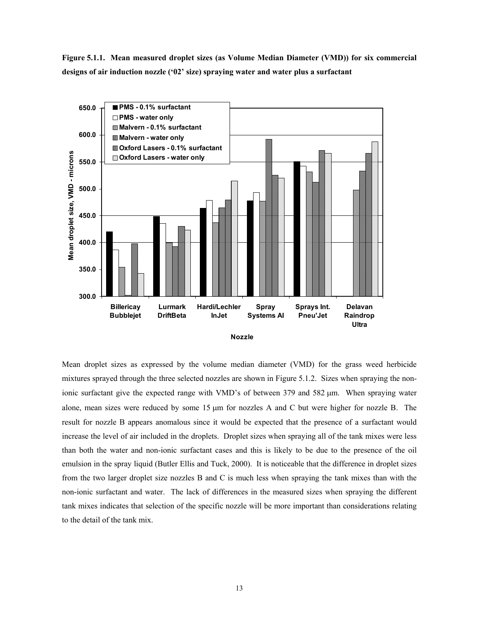**Figure 5.1.1. Mean measured droplet sizes (as Volume Median Diameter (VMD)) for six commercial designs of air induction nozzle ('02' size) spraying water and water plus a surfactant** 





Mean droplet sizes as expressed by the volume median diameter (VMD) for the grass weed herbicide mixtures sprayed through the three selected nozzles are shown in Figure 5.1.2. Sizes when spraying the nonionic surfactant give the expected range with VMD's of between 379 and 582 µm. When spraying water alone, mean sizes were reduced by some 15 µm for nozzles A and C but were higher for nozzle B. The result for nozzle B appears anomalous since it would be expected that the presence of a surfactant would increase the level of air included in the droplets. Droplet sizes when spraying all of the tank mixes were less than both the water and non-ionic surfactant cases and this is likely to be due to the presence of the oil emulsion in the spray liquid (Butler Ellis and Tuck, 2000). It is noticeable that the difference in droplet sizes from the two larger droplet size nozzles B and C is much less when spraying the tank mixes than with the non-ionic surfactant and water. The lack of differences in the measured sizes when spraying the different tank mixes indicates that selection of the specific nozzle will be more important than considerations relating to the detail of the tank mix.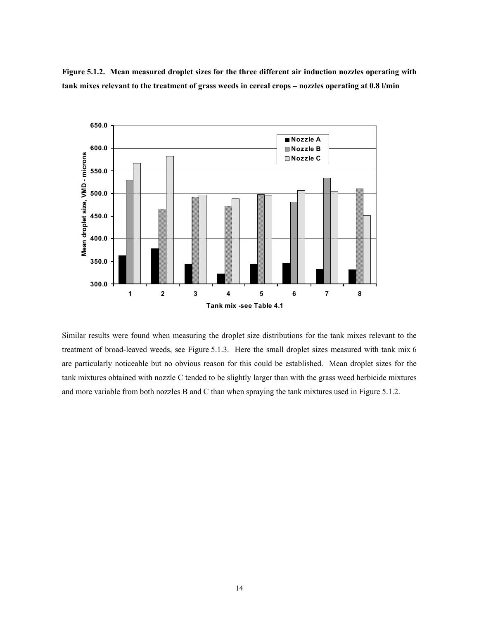**Figure 5.1.2. Mean measured droplet sizes for the three different air induction nozzles operating with tank mixes relevant to the treatment of grass weeds in cereal crops – nozzles operating at 0.8 l/min** 



Similar results were found when measuring the droplet size distributions for the tank mixes relevant to the treatment of broad-leaved weeds, see Figure 5.1.3. Here the small droplet sizes measured with tank mix 6 are particularly noticeable but no obvious reason for this could be established. Mean droplet sizes for the tank mixtures obtained with nozzle C tended to be slightly larger than with the grass weed herbicide mixtures and more variable from both nozzles B and C than when spraying the tank mixtures used in Figure 5.1.2.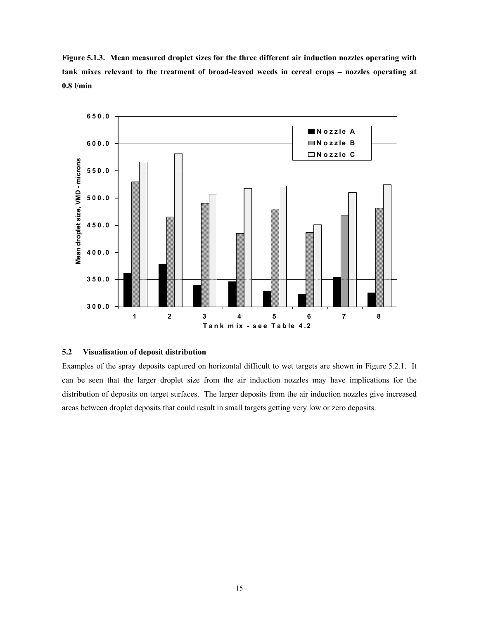**Figure 5.1.3. Mean measured droplet sizes for the three different air induction nozzles operating with tank mixes relevant to the treatment of broad-leaved weeds in cereal crops – nozzles operating at 0.8 l/min** 



#### **5.2 Visualisation of deposit distribution**

Examples of the spray deposits captured on horizontal difficult to wet targets are shown in Figure 5.2.1. It can be seen that the larger droplet size from the air induction nozzles may have implications for the distribution of deposits on target surfaces. The larger deposits from the air induction nozzles give increased areas between droplet deposits that could result in small targets getting very low or zero deposits.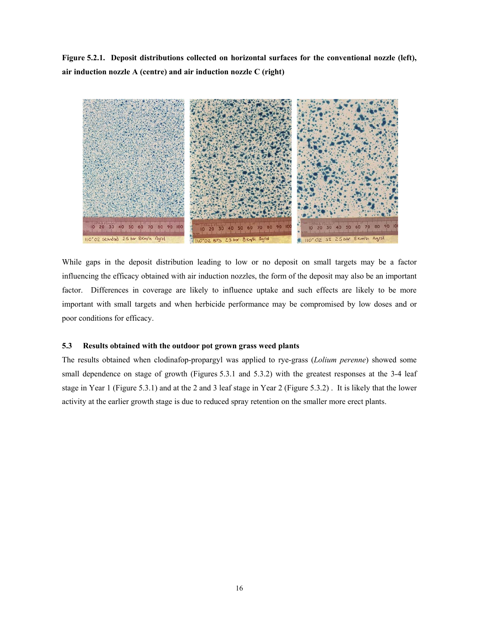**Figure 5.2.1. Deposit distributions collected on horizontal surfaces for the conventional nozzle (left), air induction nozzle A (centre) and air induction nozzle C (right)** 



While gaps in the deposit distribution leading to low or no deposit on small targets may be a factor influencing the efficacy obtained with air induction nozzles, the form of the deposit may also be an important factor. Differences in coverage are likely to influence uptake and such effects are likely to be more important with small targets and when herbicide performance may be compromised by low doses and or poor conditions for efficacy.

#### **5.3 Results obtained with the outdoor pot grown grass weed plants**

The results obtained when clodinafop-propargyl was applied to rye-grass (*Lolium perenne*) showed some small dependence on stage of growth (Figures 5.3.1 and 5.3.2) with the greatest responses at the 3-4 leaf stage in Year 1 (Figure 5.3.1) and at the 2 and 3 leaf stage in Year 2 (Figure 5.3.2) . It is likely that the lower activity at the earlier growth stage is due to reduced spray retention on the smaller more erect plants.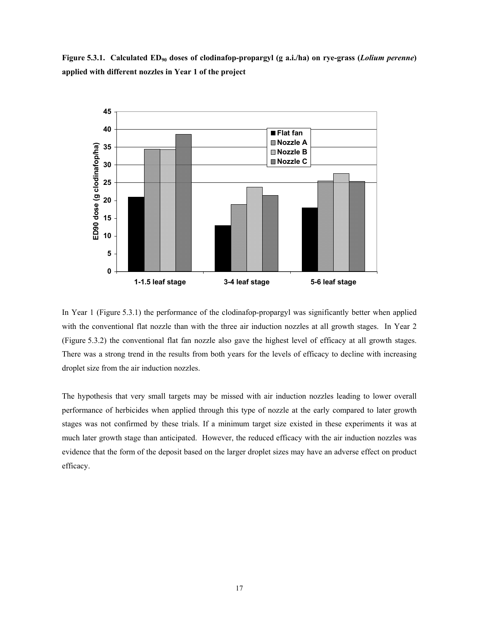Figure 5.3.1. Calculated ED<sub>90</sub> doses of clodinafop-propargyl (g a.i./ha) on rye-grass (*Lolium perenne*) **applied with different nozzles in Year 1 of the project** 



In Year 1 (Figure 5.3.1) the performance of the clodinafop-propargyl was significantly better when applied with the conventional flat nozzle than with the three air induction nozzles at all growth stages. In Year 2 (Figure 5.3.2) the conventional flat fan nozzle also gave the highest level of efficacy at all growth stages. There was a strong trend in the results from both years for the levels of efficacy to decline with increasing droplet size from the air induction nozzles.

The hypothesis that very small targets may be missed with air induction nozzles leading to lower overall performance of herbicides when applied through this type of nozzle at the early compared to later growth stages was not confirmed by these trials. If a minimum target size existed in these experiments it was at much later growth stage than anticipated. However, the reduced efficacy with the air induction nozzles was evidence that the form of the deposit based on the larger droplet sizes may have an adverse effect on product efficacy.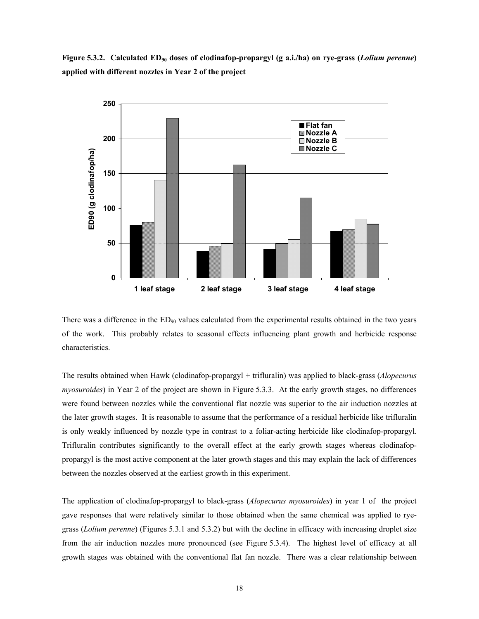Figure 5.3.2. Calculated ED<sub>90</sub> doses of clodinafop-propargyl (g a.i./ha) on rye-grass (*Lolium perenne*) **applied with different nozzles in Year 2 of the project** 



There was a difference in the  $ED_{90}$  values calculated from the experimental results obtained in the two years of the work. This probably relates to seasonal effects influencing plant growth and herbicide response characteristics.

The results obtained when Hawk (clodinafop-propargyl + trifluralin) was applied to black-grass (*Alopecurus myosuroides*) in Year 2 of the project are shown in Figure 5.3.3. At the early growth stages, no differences were found between nozzles while the conventional flat nozzle was superior to the air induction nozzles at the later growth stages. It is reasonable to assume that the performance of a residual herbicide like trifluralin is only weakly influenced by nozzle type in contrast to a foliar-acting herbicide like clodinafop-propargyl. Trifluralin contributes significantly to the overall effect at the early growth stages whereas clodinafoppropargyl is the most active component at the later growth stages and this may explain the lack of differences between the nozzles observed at the earliest growth in this experiment.

The application of clodinafop-propargyl to black-grass (*Alopecurus myosuroides*) in year 1 of the project gave responses that were relatively similar to those obtained when the same chemical was applied to ryegrass (*Lolium perenne*) (Figures 5.3.1 and 5.3.2) but with the decline in efficacy with increasing droplet size from the air induction nozzles more pronounced (see Figure 5.3.4). The highest level of efficacy at all growth stages was obtained with the conventional flat fan nozzle. There was a clear relationship between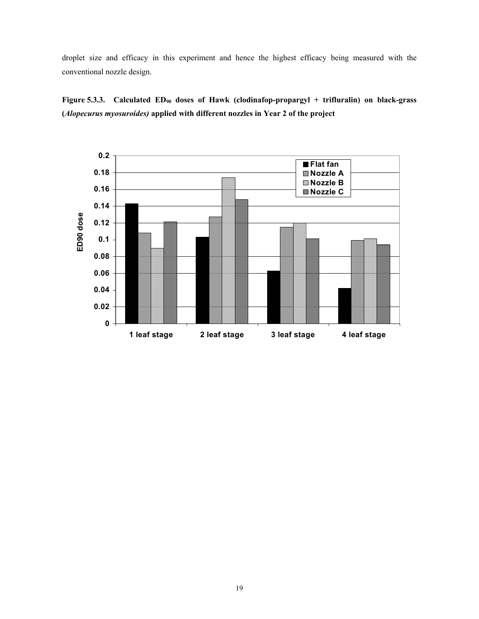droplet size and efficacy in this experiment and hence the highest efficacy being measured with the conventional nozzle design.

Figure 5.3.3. Calculated ED<sub>90</sub> doses of Hawk (clodinafop-propargyl + trifluralin) on black-grass **(***Alopecurus myosuroides)* **applied with different nozzles in Year 2 of the project** 

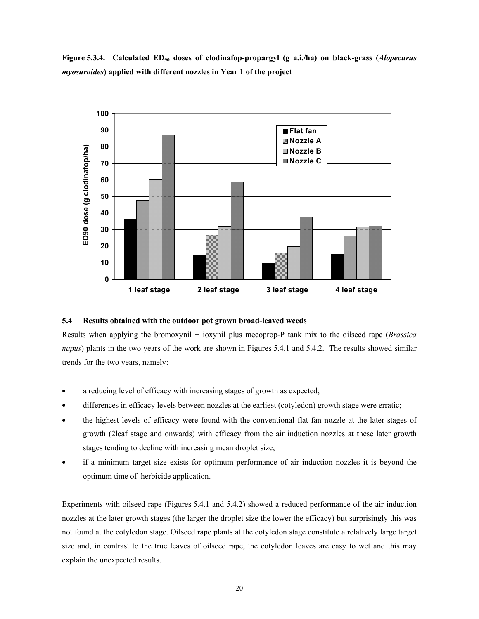Figure 5.3.4. Calculated ED<sub>90</sub> doses of clodinafop-propargyl (g a.i./ha) on black-grass (*Alopecurus myosuroides***) applied with different nozzles in Year 1 of the project** 



#### **5.4 Results obtained with the outdoor pot grown broad-leaved weeds**

Results when applying the bromoxynil + ioxynil plus mecoprop-P tank mix to the oilseed rape (*Brassica napus*) plants in the two years of the work are shown in Figures 5.4.1 and 5.4.2. The results showed similar trends for the two years, namely:

- a reducing level of efficacy with increasing stages of growth as expected;
- differences in efficacy levels between nozzles at the earliest (cotyledon) growth stage were erratic;
- the highest levels of efficacy were found with the conventional flat fan nozzle at the later stages of growth (2leaf stage and onwards) with efficacy from the air induction nozzles at these later growth stages tending to decline with increasing mean droplet size;
- if a minimum target size exists for optimum performance of air induction nozzles it is beyond the optimum time of herbicide application.

Experiments with oilseed rape (Figures 5.4.1 and 5.4.2) showed a reduced performance of the air induction nozzles at the later growth stages (the larger the droplet size the lower the efficacy) but surprisingly this was not found at the cotyledon stage. Oilseed rape plants at the cotyledon stage constitute a relatively large target size and, in contrast to the true leaves of oilseed rape, the cotyledon leaves are easy to wet and this may explain the unexpected results.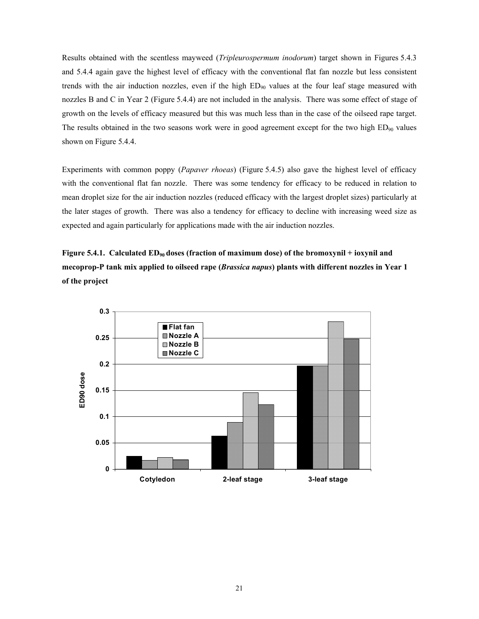Results obtained with the scentless mayweed (*Tripleurospermum inodorum*) target shown in Figures 5.4.3 and 5.4.4 again gave the highest level of efficacy with the conventional flat fan nozzle but less consistent trends with the air induction nozzles, even if the high ED<sub>90</sub> values at the four leaf stage measured with nozzles B and C in Year 2 (Figure 5.4.4) are not included in the analysis. There was some effect of stage of growth on the levels of efficacy measured but this was much less than in the case of the oilseed rape target. The results obtained in the two seasons work were in good agreement except for the two high  $ED_{90}$  values shown on Figure 5.4.4.

Experiments with common poppy (*Papaver rhoeas*) (Figure 5.4.5) also gave the highest level of efficacy with the conventional flat fan nozzle. There was some tendency for efficacy to be reduced in relation to mean droplet size for the air induction nozzles (reduced efficacy with the largest droplet sizes) particularly at the later stages of growth. There was also a tendency for efficacy to decline with increasing weed size as expected and again particularly for applications made with the air induction nozzles.

Figure 5.4.1. Calculated ED<sub>90</sub> doses (fraction of maximum dose) of the bromoxynil + ioxynil and **mecoprop-P tank mix applied to oilseed rape (***Brassica napus***) plants with different nozzles in Year 1 of the project** 

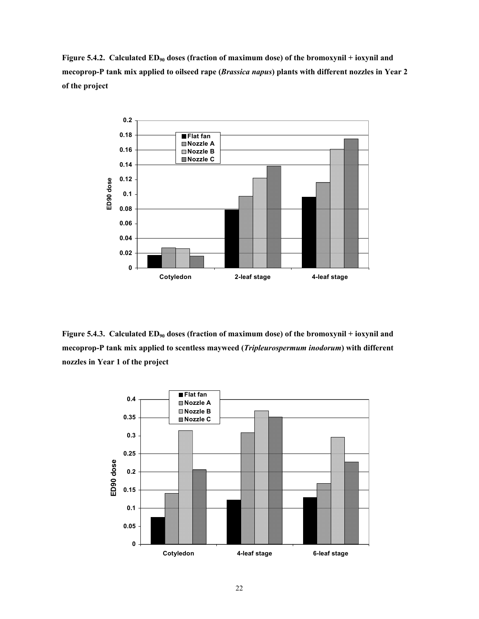Figure 5.4.2. Calculated ED<sub>90</sub> doses (fraction of maximum dose) of the bromoxynil + ioxynil and **mecoprop-P tank mix applied to oilseed rape (***Brassica napus***) plants with different nozzles in Year 2 of the project** 



Figure 5.4.3. Calculated ED<sub>90</sub> doses (fraction of maximum dose) of the bromoxynil + ioxynil and **mecoprop-P tank mix applied to scentless mayweed (***Tripleurospermum inodorum***) with different nozzles in Year 1 of the project** 

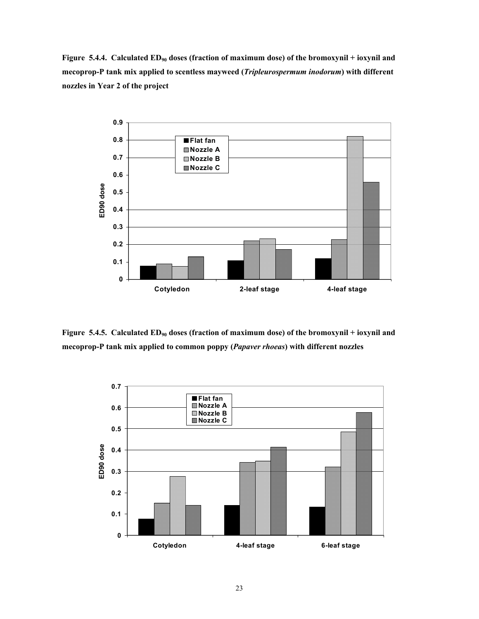Figure 5.4.4. Calculated ED<sub>90</sub> doses (fraction of maximum dose) of the bromoxynil + ioxynil and **mecoprop-P tank mix applied to scentless mayweed (***Tripleurospermum inodorum***) with different nozzles in Year 2 of the project** 



Figure 5.4.5. Calculated ED<sub>90</sub> doses (fraction of maximum dose) of the bromoxynil + ioxynil and **mecoprop-P tank mix applied to common poppy (***Papaver rhoeas***) with different nozzles** 

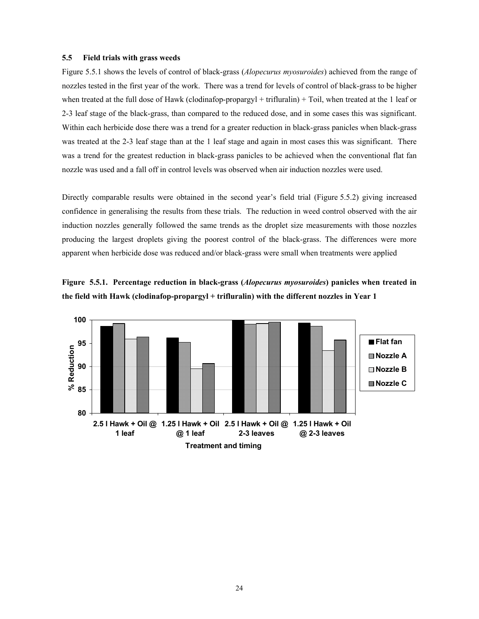#### **5.5 Field trials with grass weeds**

Figure 5.5.1 shows the levels of control of black-grass (*Alopecurus myosuroides*) achieved from the range of nozzles tested in the first year of the work. There was a trend for levels of control of black-grass to be higher when treated at the full dose of Hawk (clodinafop-propargyl + trifluralin) + Toil, when treated at the 1 leaf or 2-3 leaf stage of the black-grass, than compared to the reduced dose, and in some cases this was significant. Within each herbicide dose there was a trend for a greater reduction in black-grass panicles when black-grass was treated at the 2-3 leaf stage than at the 1 leaf stage and again in most cases this was significant. There was a trend for the greatest reduction in black-grass panicles to be achieved when the conventional flat fan nozzle was used and a fall off in control levels was observed when air induction nozzles were used.

Directly comparable results were obtained in the second year's field trial (Figure 5.5.2) giving increased confidence in generalising the results from these trials. The reduction in weed control observed with the air induction nozzles generally followed the same trends as the droplet size measurements with those nozzles producing the largest droplets giving the poorest control of the black-grass. The differences were more apparent when herbicide dose was reduced and/or black-grass were small when treatments were applied



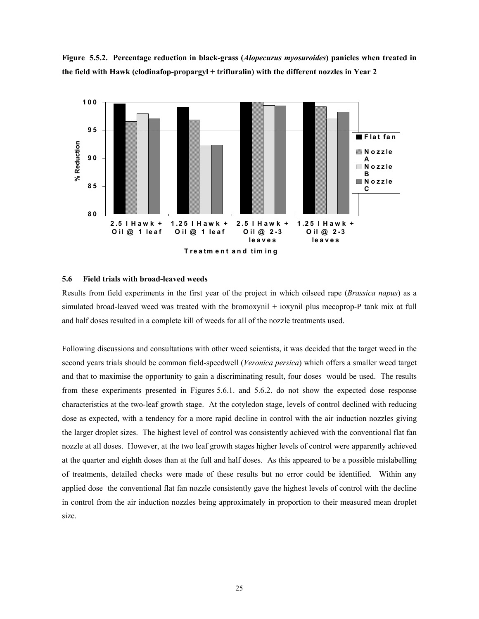



#### **5.6 Field trials with broad-leaved weeds**

Results from field experiments in the first year of the project in which oilseed rape (*Brassica napus*) as a simulated broad-leaved weed was treated with the bromoxynil + ioxynil plus mecoprop-P tank mix at full and half doses resulted in a complete kill of weeds for all of the nozzle treatments used.

Following discussions and consultations with other weed scientists, it was decided that the target weed in the second years trials should be common field-speedwell (*Veronica persica*) which offers a smaller weed target and that to maximise the opportunity to gain a discriminating result, four doses would be used. The results from these experiments presented in Figures 5.6.1. and 5.6.2. do not show the expected dose response characteristics at the two-leaf growth stage. At the cotyledon stage, levels of control declined with reducing dose as expected, with a tendency for a more rapid decline in control with the air induction nozzles giving the larger droplet sizes. The highest level of control was consistently achieved with the conventional flat fan nozzle at all doses. However, at the two leaf growth stages higher levels of control were apparently achieved at the quarter and eighth doses than at the full and half doses. As this appeared to be a possible mislabelling of treatments, detailed checks were made of these results but no error could be identified. Within any applied dose the conventional flat fan nozzle consistently gave the highest levels of control with the decline in control from the air induction nozzles being approximately in proportion to their measured mean droplet size.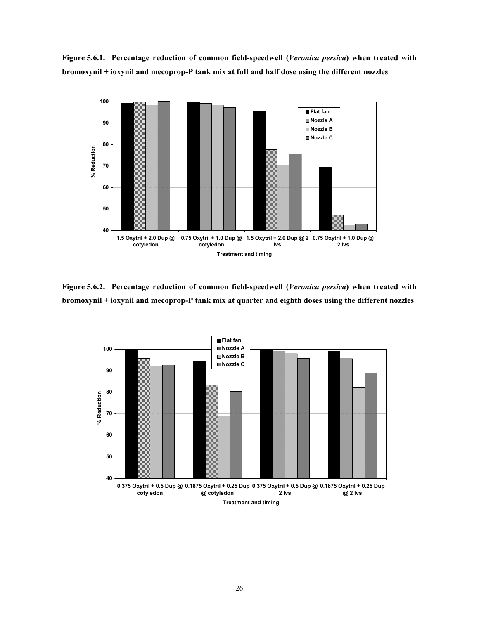**Figure 5.6.1. Percentage reduction of common field-speedwell (***Veronica persica***) when treated with bromoxynil + ioxynil and mecoprop-P tank mix at full and half dose using the different nozzles** 



**Figure 5.6.2. Percentage reduction of common field-speedwell (***Veronica persica***) when treated with bromoxynil + ioxynil and mecoprop-P tank mix at quarter and eighth doses using the different nozzles** 

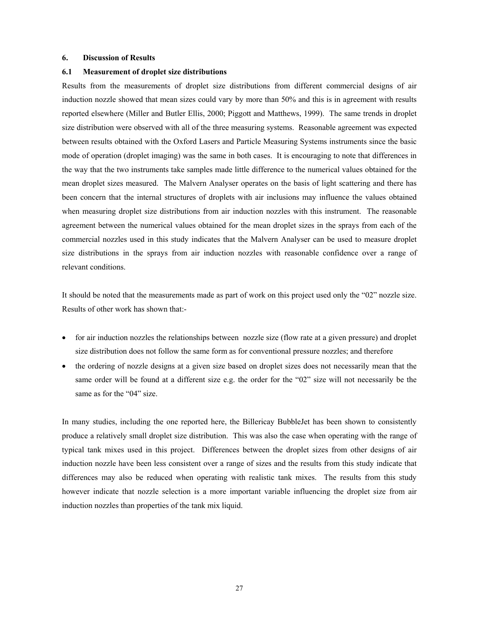#### **6. Discussion of Results**

#### **6.1 Measurement of droplet size distributions**

Results from the measurements of droplet size distributions from different commercial designs of air induction nozzle showed that mean sizes could vary by more than 50% and this is in agreement with results reported elsewhere (Miller and Butler Ellis, 2000; Piggott and Matthews, 1999). The same trends in droplet size distribution were observed with all of the three measuring systems. Reasonable agreement was expected between results obtained with the Oxford Lasers and Particle Measuring Systems instruments since the basic mode of operation (droplet imaging) was the same in both cases. It is encouraging to note that differences in the way that the two instruments take samples made little difference to the numerical values obtained for the mean droplet sizes measured. The Malvern Analyser operates on the basis of light scattering and there has been concern that the internal structures of droplets with air inclusions may influence the values obtained when measuring droplet size distributions from air induction nozzles with this instrument. The reasonable agreement between the numerical values obtained for the mean droplet sizes in the sprays from each of the commercial nozzles used in this study indicates that the Malvern Analyser can be used to measure droplet size distributions in the sprays from air induction nozzles with reasonable confidence over a range of relevant conditions.

It should be noted that the measurements made as part of work on this project used only the "02" nozzle size. Results of other work has shown that:-

- for air induction nozzles the relationships between nozzle size (flow rate at a given pressure) and droplet size distribution does not follow the same form as for conventional pressure nozzles; and therefore
- the ordering of nozzle designs at a given size based on droplet sizes does not necessarily mean that the same order will be found at a different size e.g. the order for the "02" size will not necessarily be the same as for the "04" size.

In many studies, including the one reported here, the Billericay BubbleJet has been shown to consistently produce a relatively small droplet size distribution. This was also the case when operating with the range of typical tank mixes used in this project. Differences between the droplet sizes from other designs of air induction nozzle have been less consistent over a range of sizes and the results from this study indicate that differences may also be reduced when operating with realistic tank mixes. The results from this study however indicate that nozzle selection is a more important variable influencing the droplet size from air induction nozzles than properties of the tank mix liquid.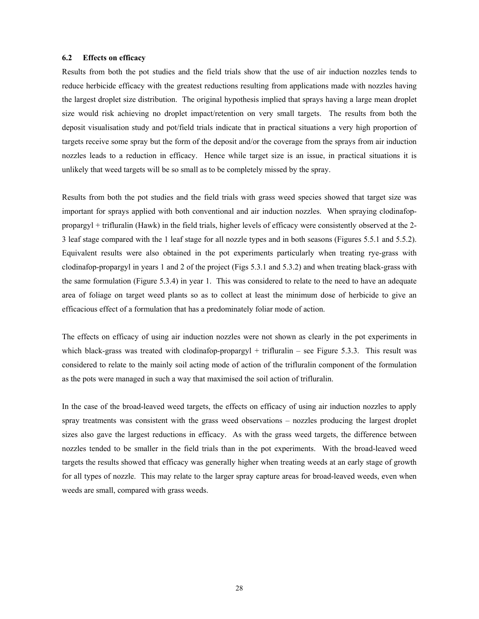#### **6.2 Effects on efficacy**

Results from both the pot studies and the field trials show that the use of air induction nozzles tends to reduce herbicide efficacy with the greatest reductions resulting from applications made with nozzles having the largest droplet size distribution. The original hypothesis implied that sprays having a large mean droplet size would risk achieving no droplet impact/retention on very small targets. The results from both the deposit visualisation study and pot/field trials indicate that in practical situations a very high proportion of targets receive some spray but the form of the deposit and/or the coverage from the sprays from air induction nozzles leads to a reduction in efficacy. Hence while target size is an issue, in practical situations it is unlikely that weed targets will be so small as to be completely missed by the spray.

Results from both the pot studies and the field trials with grass weed species showed that target size was important for sprays applied with both conventional and air induction nozzles. When spraying clodinafoppropargyl + trifluralin (Hawk) in the field trials, higher levels of efficacy were consistently observed at the 2- 3 leaf stage compared with the 1 leaf stage for all nozzle types and in both seasons (Figures 5.5.1 and 5.5.2). Equivalent results were also obtained in the pot experiments particularly when treating rye-grass with clodinafop-propargyl in years 1 and 2 of the project (Figs 5.3.1 and 5.3.2) and when treating black-grass with the same formulation (Figure 5.3.4) in year 1. This was considered to relate to the need to have an adequate area of foliage on target weed plants so as to collect at least the minimum dose of herbicide to give an efficacious effect of a formulation that has a predominately foliar mode of action.

The effects on efficacy of using air induction nozzles were not shown as clearly in the pot experiments in which black-grass was treated with clodinafop-propargyl  $+$  trifluralin – see Figure 5.3.3. This result was considered to relate to the mainly soil acting mode of action of the trifluralin component of the formulation as the pots were managed in such a way that maximised the soil action of trifluralin.

In the case of the broad-leaved weed targets, the effects on efficacy of using air induction nozzles to apply spray treatments was consistent with the grass weed observations – nozzles producing the largest droplet sizes also gave the largest reductions in efficacy. As with the grass weed targets, the difference between nozzles tended to be smaller in the field trials than in the pot experiments. With the broad-leaved weed targets the results showed that efficacy was generally higher when treating weeds at an early stage of growth for all types of nozzle. This may relate to the larger spray capture areas for broad-leaved weeds, even when weeds are small, compared with grass weeds.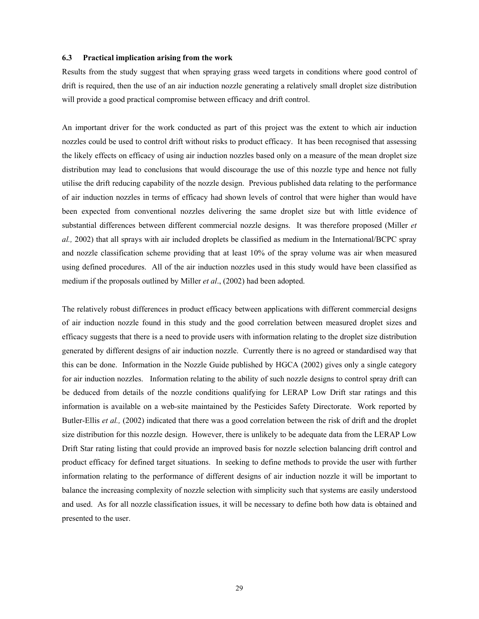#### **6.3 Practical implication arising from the work**

Results from the study suggest that when spraying grass weed targets in conditions where good control of drift is required, then the use of an air induction nozzle generating a relatively small droplet size distribution will provide a good practical compromise between efficacy and drift control.

An important driver for the work conducted as part of this project was the extent to which air induction nozzles could be used to control drift without risks to product efficacy. It has been recognised that assessing the likely effects on efficacy of using air induction nozzles based only on a measure of the mean droplet size distribution may lead to conclusions that would discourage the use of this nozzle type and hence not fully utilise the drift reducing capability of the nozzle design. Previous published data relating to the performance of air induction nozzles in terms of efficacy had shown levels of control that were higher than would have been expected from conventional nozzles delivering the same droplet size but with little evidence of substantial differences between different commercial nozzle designs. It was therefore proposed (Miller *et al.,* 2002) that all sprays with air included droplets be classified as medium in the International/BCPC spray and nozzle classification scheme providing that at least 10% of the spray volume was air when measured using defined procedures. All of the air induction nozzles used in this study would have been classified as medium if the proposals outlined by Miller *et al*., (2002) had been adopted.

The relatively robust differences in product efficacy between applications with different commercial designs of air induction nozzle found in this study and the good correlation between measured droplet sizes and efficacy suggests that there is a need to provide users with information relating to the droplet size distribution generated by different designs of air induction nozzle. Currently there is no agreed or standardised way that this can be done. Information in the Nozzle Guide published by HGCA (2002) gives only a single category for air induction nozzles. Information relating to the ability of such nozzle designs to control spray drift can be deduced from details of the nozzle conditions qualifying for LERAP Low Drift star ratings and this information is available on a web-site maintained by the Pesticides Safety Directorate. Work reported by Butler-Ellis *et al.,* (2002) indicated that there was a good correlation between the risk of drift and the droplet size distribution for this nozzle design. However, there is unlikely to be adequate data from the LERAP Low Drift Star rating listing that could provide an improved basis for nozzle selection balancing drift control and product efficacy for defined target situations. In seeking to define methods to provide the user with further information relating to the performance of different designs of air induction nozzle it will be important to balance the increasing complexity of nozzle selection with simplicity such that systems are easily understood and used. As for all nozzle classification issues, it will be necessary to define both how data is obtained and presented to the user.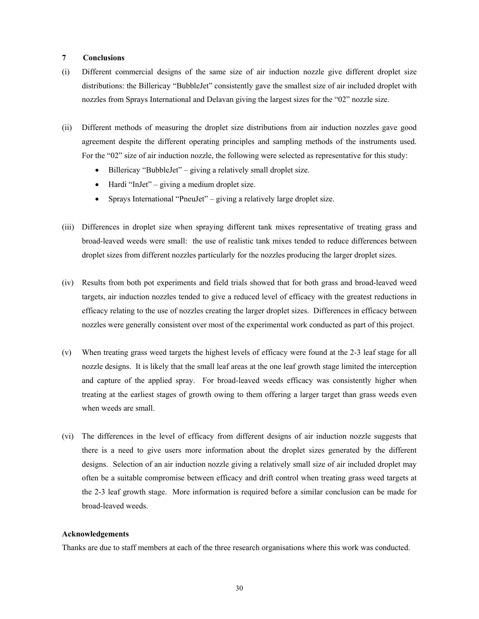#### **7 Conclusions**

- (i) Different commercial designs of the same size of air induction nozzle give different droplet size distributions: the Billericay "BubbleJet" consistently gave the smallest size of air included droplet with nozzles from Sprays International and Delavan giving the largest sizes for the "02" nozzle size.
- (ii) Different methods of measuring the droplet size distributions from air induction nozzles gave good agreement despite the different operating principles and sampling methods of the instruments used. For the "02" size of air induction nozzle, the following were selected as representative for this study:
	- Billericay "BubbleJet" giving a relatively small droplet size.
	- Hardi "InJet" giving a medium droplet size.
	- Sprays International "PneuJet" giving a relatively large droplet size.
- (iii) Differences in droplet size when spraying different tank mixes representative of treating grass and broad-leaved weeds were small: the use of realistic tank mixes tended to reduce differences between droplet sizes from different nozzles particularly for the nozzles producing the larger droplet sizes.
- (iv) Results from both pot experiments and field trials showed that for both grass and broad-leaved weed targets, air induction nozzles tended to give a reduced level of efficacy with the greatest reductions in efficacy relating to the use of nozzles creating the larger droplet sizes. Differences in efficacy between nozzles were generally consistent over most of the experimental work conducted as part of this project.
- (v) When treating grass weed targets the highest levels of efficacy were found at the 2-3 leaf stage for all nozzle designs. It is likely that the small leaf areas at the one leaf growth stage limited the interception and capture of the applied spray. For broad-leaved weeds efficacy was consistently higher when treating at the earliest stages of growth owing to them offering a larger target than grass weeds even when weeds are small.
- (vi) The differences in the level of efficacy from different designs of air induction nozzle suggests that there is a need to give users more information about the droplet sizes generated by the different designs. Selection of an air induction nozzle giving a relatively small size of air included droplet may often be a suitable compromise between efficacy and drift control when treating grass weed targets at the 2-3 leaf growth stage. More information is required before a similar conclusion can be made for broad-leaved weeds.

#### **Acknowledgements**

Thanks are due to staff members at each of the three research organisations where this work was conducted.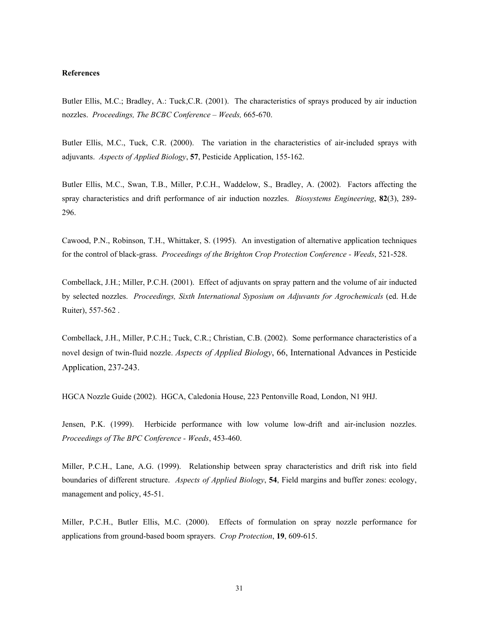#### **References**

Butler Ellis, M.C.; Bradley, A.: Tuck,C.R. (2001). The characteristics of sprays produced by air induction nozzles. *Proceedings, The BCBC Conference – Weeds,* 665-670.

Butler Ellis, M.C., Tuck, C.R. (2000). The variation in the characteristics of air-included sprays with adjuvants. *Aspects of Applied Biology*, **57**, Pesticide Application, 155-162.

Butler Ellis, M.C., Swan, T.B., Miller, P.C.H., Waddelow, S., Bradley, A. (2002). Factors affecting the spray characteristics and drift performance of air induction nozzles. *Biosystems Engineering*, **82**(3), 289- 296.

Cawood, P.N., Robinson, T.H., Whittaker, S. (1995). An investigation of alternative application techniques for the control of black-grass. *Proceedings of the Brighton Crop Protection Conference - Weeds*, 521-528.

Combellack, J.H.; Miller, P.C.H. (2001). Effect of adjuvants on spray pattern and the volume of air inducted by selected nozzles. *Proceedings, Sixth International Syposium on Adjuvants for Agrochemicals* (ed. H.de Ruiter), 557-562 .

Combellack, J.H., Miller, P.C.H.; Tuck, C.R.; Christian, C.B. (2002). Some performance characteristics of a novel design of twin-fluid nozzle. *Aspects of Applied Biology*, 66, International Advances in Pesticide Application, 237-243.

HGCA Nozzle Guide (2002). HGCA, Caledonia House, 223 Pentonville Road, London, N1 9HJ.

Jensen, P.K. (1999). Herbicide performance with low volume low-drift and air-inclusion nozzles. *Proceedings of The BPC Conference - Weeds*, 453-460.

Miller, P.C.H., Lane, A.G. (1999). Relationship between spray characteristics and drift risk into field boundaries of different structure. *Aspects of Applied Biology*, **54**, Field margins and buffer zones: ecology, management and policy, 45-51.

Miller, P.C.H., Butler Ellis, M.C. (2000). Effects of formulation on spray nozzle performance for applications from ground-based boom sprayers. *Crop Protection*, **19**, 609-615.